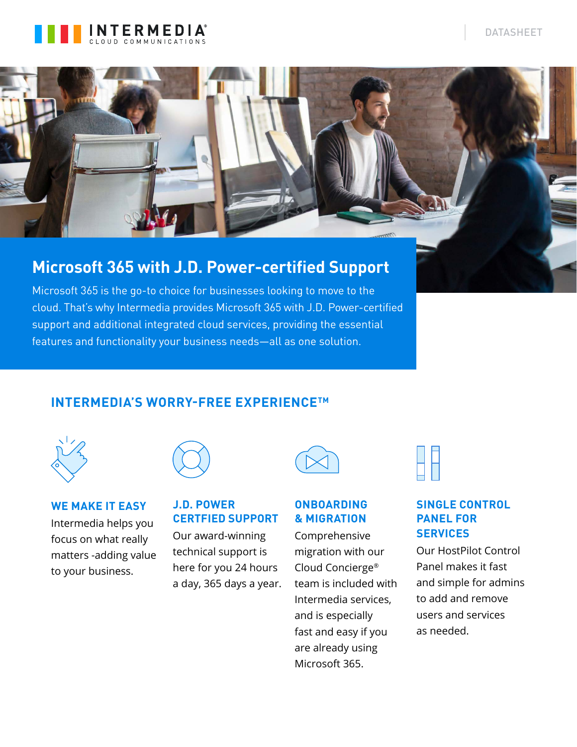



## **Microsoft 365 with J.D. Power-certified Support**

Microsoft 365 is the go-to choice for businesses looking to move to the cloud. That's why Intermedia provides Microsoft 365 with J.D. Power-certified support and additional integrated cloud services, providing the essential features and functionality your business needs—all as one solution.

### **INTERMEDIA'S WORRY-FREE EXPERIENCETM**



**WE MAKE IT EASY** Intermedia helps you focus on what really matters -adding value to your business.

### **J.D. POWER CERTFIED SUPPORT**

Our award-winning technical support is here for you 24 hours a day, 365 days a year.

### **ONBOARDING & MIGRATION**

Comprehensive migration with our Cloud Concierge® team is included with Intermedia services, and is especially fast and easy if you are already using Microsoft 365.



### **SINGLE CONTROL PANEL FOR SERVICES**

Our HostPilot Control Panel makes it fast and simple for admins to add and remove users and services as needed.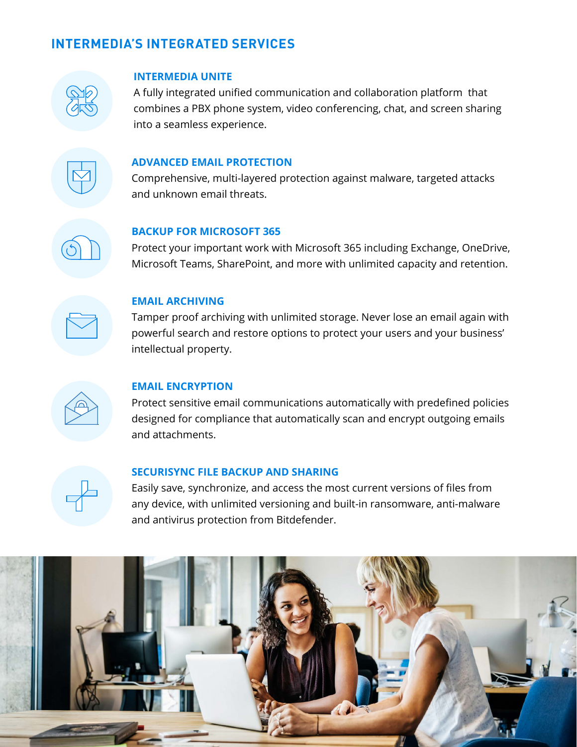### **INTERMEDIA'S INTEGRATED SERVICES**



#### **INTERMEDIA UNITE**

A fully integrated unified communication and collaboration platform that combines a PBX phone system, video conferencing, chat, and screen sharing into a seamless experience.



#### **ADVANCED EMAIL PROTECTION**

Comprehensive, multi-layered protection against malware, targeted attacks and unknown email threats.

#### **BACKUP FOR MICROSOFT 365**

Protect your important work with Microsoft 365 including Exchange, OneDrive, Microsoft Teams, SharePoint, and more with unlimited capacity and retention.



#### **EMAIL ARCHIVING**

Tamper proof archiving with unlimited storage. Never lose an email again with powerful search and restore options to protect your users and your business' intellectual property.



#### **EMAIL ENCRYPTION**

Protect sensitive email communications automatically with predefined policies designed for compliance that automatically scan and encrypt outgoing emails and attachments.



#### **SECURISYNC FILE BACKUP AND SHARING**

Easily save, synchronize, and access the most current versions of files from any device, with unlimited versioning and built-in ransomware, anti-malware and antivirus protection from Bitdefender.

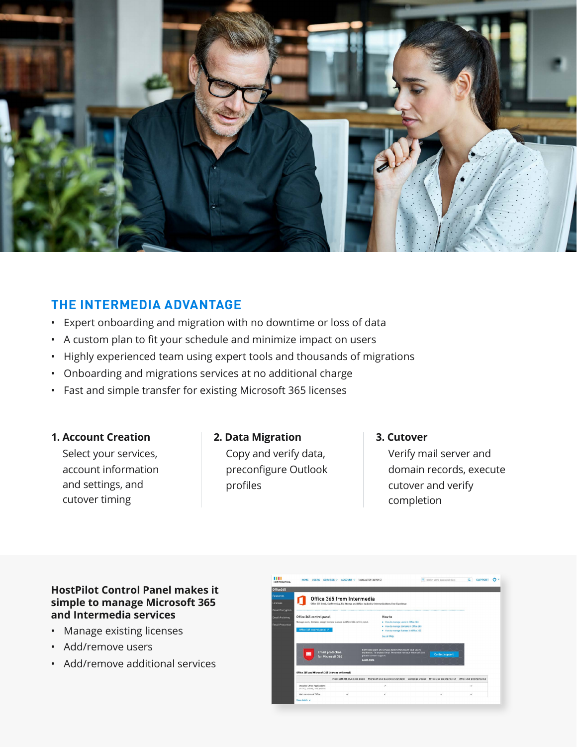

### **THE INTERMEDIA ADVANTAGE**

- Expert onboarding and migration with no downtime or loss of data
- A custom plan to fit your schedule and minimize impact on users
- Highly experienced team using expert tools and thousands of migrations
- Onboarding and migrations services at no additional charge
- Fast and simple transfer for existing Microsoft 365 licenses

#### **1. Account Creation**

Select your services, account information and settings, and cutover timing

### **2. Data Migration** Copy and verify data, preconfigure Outlook profiles

### **3. Cutover** Verify mail server and domain records, execute cutover and verify completion

### **HostPilot Control Panel makes it simple to manage Microsoft 365 and Intermedia services**

- Manage existing licenses
- Add/remove users
- Add/remove additional services

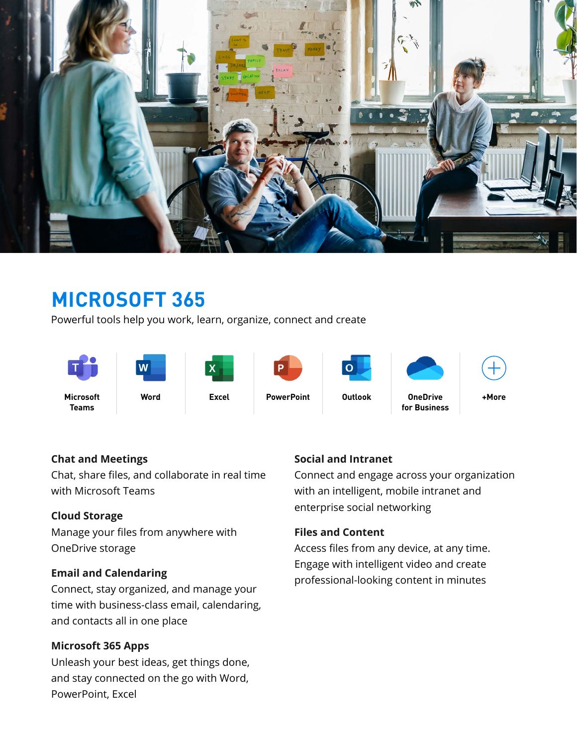

# **MICROSOFT 365**

Powerful tools help you work, learn, organize, connect and create



### **Chat and Meetings**

Chat, share files, and collaborate in real time with Microsoft Teams

### **Cloud Storage**

Manage your files from anywhere with OneDrive storage

### **Email and Calendaring**

Connect, stay organized, and manage your time with business-class email, calendaring, and contacts all in one place

### **Microsoft 365 Apps**

Unleash your best ideas, get things done, and stay connected on the go with Word, PowerPoint, Excel

### **Social and Intranet**

Connect and engage across your organization with an intelligent, mobile intranet and enterprise social networking

### **Files and Content**

Access files from any device, at any time. Engage with intelligent video and create professional-looking content in minutes